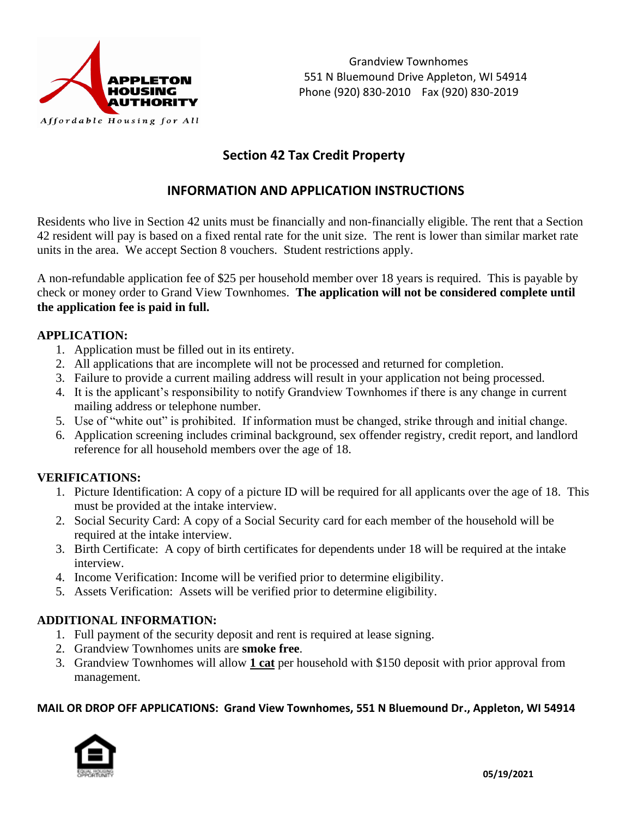

# **Section 42 Tax Credit Property**

# **INFORMATION AND APPLICATION INSTRUCTIONS**

Residents who live in Section 42 units must be financially and non-financially eligible. The rent that a Section 42 resident will pay is based on a fixed rental rate for the unit size. The rent is lower than similar market rate units in the area. We accept Section 8 vouchers. Student restrictions apply.

A non-refundable application fee of \$25 per household member over 18 years is required. This is payable by check or money order to Grand View Townhomes. **The application will not be considered complete until the application fee is paid in full.** 

## **APPLICATION:**

- 1. Application must be filled out in its entirety.
- 2. All applications that are incomplete will not be processed and returned for completion.
- 3. Failure to provide a current mailing address will result in your application not being processed.
- 4. It is the applicant's responsibility to notify Grandview Townhomes if there is any change in current mailing address or telephone number.
- 5. Use of "white out" is prohibited. If information must be changed, strike through and initial change.
- 6. Application screening includes criminal background, sex offender registry, credit report, and landlord reference for all household members over the age of 18.

## **VERIFICATIONS:**

- 1. Picture Identification: A copy of a picture ID will be required for all applicants over the age of 18. This must be provided at the intake interview.
- 2. Social Security Card: A copy of a Social Security card for each member of the household will be required at the intake interview.
- 3. Birth Certificate: A copy of birth certificates for dependents under 18 will be required at the intake interview.
- 4. Income Verification: Income will be verified prior to determine eligibility.
- 5. Assets Verification: Assets will be verified prior to determine eligibility.

## **ADDITIONAL INFORMATION:**

- 1. Full payment of the security deposit and rent is required at lease signing.
- 2. Grandview Townhomes units are **smoke free**.
- 3. Grandview Townhomes will allow **1 cat** per household with \$150 deposit with prior approval from management.

#### **MAIL OR DROP OFF APPLICATIONS: Grand View Townhomes, 551 N Bluemound Dr., Appleton, WI 54914**

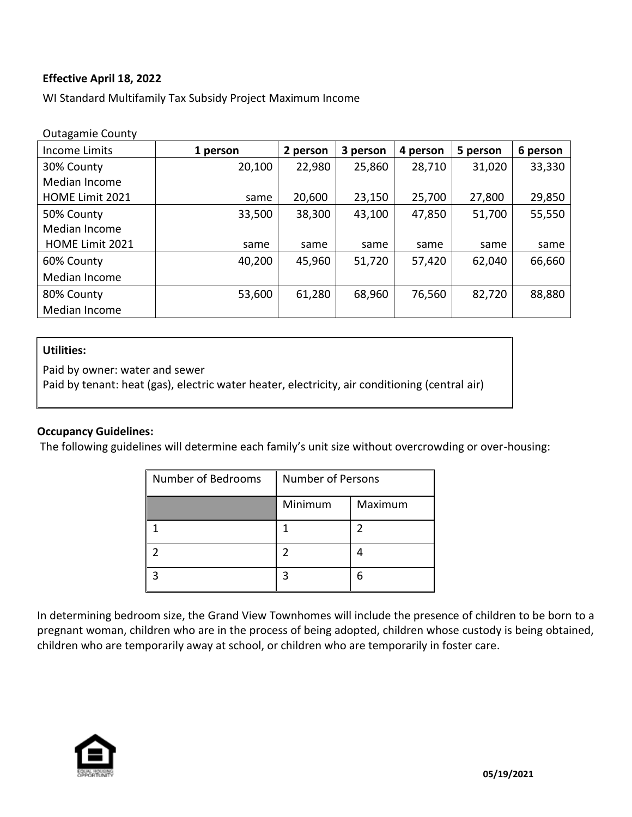## **Effective April 18, 2022**

WI Standard Multifamily Tax Subsidy Project Maximum Income

| <b>Outagamie County</b> |          |          |          |          |          |          |
|-------------------------|----------|----------|----------|----------|----------|----------|
| Income Limits           | 1 person | 2 person | 3 person | 4 person | 5 person | 6 person |
| 30% County              | 20,100   | 22,980   | 25,860   | 28,710   | 31,020   | 33,330   |
| Median Income           |          |          |          |          |          |          |
| <b>HOME Limit 2021</b>  | same     | 20,600   | 23,150   | 25,700   | 27,800   | 29,850   |
| 50% County              | 33,500   | 38,300   | 43,100   | 47,850   | 51,700   | 55,550   |
| Median Income           |          |          |          |          |          |          |
| HOME Limit 2021         | same     | same     | same     | same     | same     | same     |
| 60% County              | 40,200   | 45,960   | 51,720   | 57,420   | 62,040   | 66,660   |
| Median Income           |          |          |          |          |          |          |
| 80% County              | 53,600   | 61,280   | 68,960   | 76,560   | 82,720   | 88,880   |
| Median Income           |          |          |          |          |          |          |

#### **Utilities:**

Paid by owner: water and sewer

Paid by tenant: heat (gas), electric water heater, electricity, air conditioning (central air)

#### **Occupancy Guidelines:**

The following guidelines will determine each family's unit size without overcrowding or over-housing:

| Number of Bedrooms | <b>Number of Persons</b> |         |  |
|--------------------|--------------------------|---------|--|
|                    | Minimum                  | Maximum |  |
|                    |                          |         |  |
|                    |                          |         |  |
|                    |                          |         |  |

In determining bedroom size, the Grand View Townhomes will include the presence of children to be born to a pregnant woman, children who are in the process of being adopted, children whose custody is being obtained, children who are temporarily away at school, or children who are temporarily in foster care.

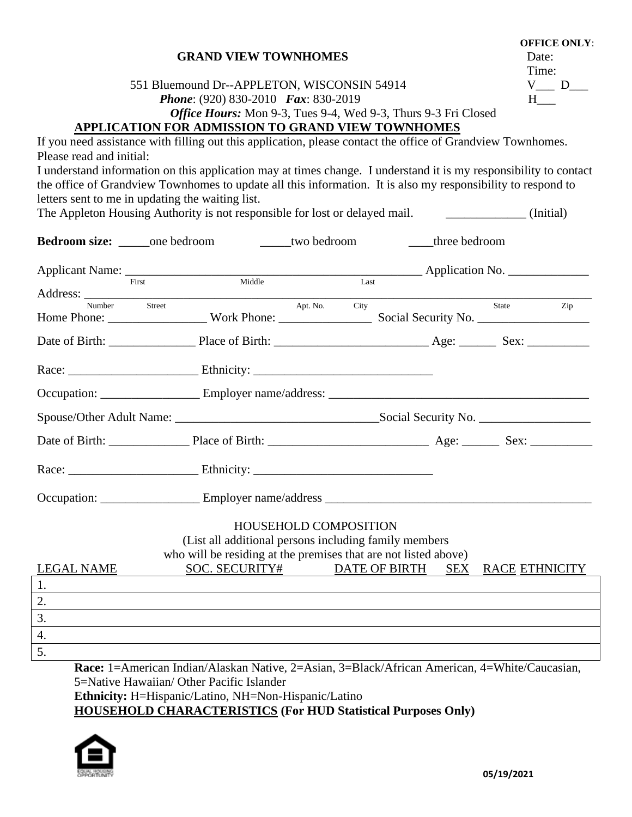|                                                                                                                                                                                                                                                                                                                                                                                                                                                                                       | Time:                 |  |  |  |  |  |
|---------------------------------------------------------------------------------------------------------------------------------------------------------------------------------------------------------------------------------------------------------------------------------------------------------------------------------------------------------------------------------------------------------------------------------------------------------------------------------------|-----------------------|--|--|--|--|--|
| 551 Bluemound Dr--APPLETON, WISCONSIN 54914                                                                                                                                                                                                                                                                                                                                                                                                                                           |                       |  |  |  |  |  |
| <b>Phone:</b> (920) 830-2010 Fax: 830-2019                                                                                                                                                                                                                                                                                                                                                                                                                                            | $H_{\perp}$           |  |  |  |  |  |
| Office Hours: Mon 9-3, Tues 9-4, Wed 9-3, Thurs 9-3 Fri Closed                                                                                                                                                                                                                                                                                                                                                                                                                        |                       |  |  |  |  |  |
| APPLICATION FOR ADMISSION TO GRAND VIEW TOWNHOMES<br>If you need assistance with filling out this application, please contact the office of Grandview Townhomes.<br>Please read and initial:<br>I understand information on this application may at times change. I understand it is my responsibility to contact<br>the office of Grandview Townhomes to update all this information. It is also my responsibility to respond to<br>letters sent to me in updating the waiting list. |                       |  |  |  |  |  |
| The Appleton Housing Authority is not responsible for lost or delayed mail. [[Initial]                                                                                                                                                                                                                                                                                                                                                                                                |                       |  |  |  |  |  |
| <b>Bedroom size:</b> ______one bedroom _______two bedroom<br>three bedroom                                                                                                                                                                                                                                                                                                                                                                                                            |                       |  |  |  |  |  |
|                                                                                                                                                                                                                                                                                                                                                                                                                                                                                       |                       |  |  |  |  |  |
| Applicant Name: First Middle Middle Last Application No.                                                                                                                                                                                                                                                                                                                                                                                                                              |                       |  |  |  |  |  |
| Apt. No. City<br>Number<br>Street                                                                                                                                                                                                                                                                                                                                                                                                                                                     | State Zip             |  |  |  |  |  |
|                                                                                                                                                                                                                                                                                                                                                                                                                                                                                       |                       |  |  |  |  |  |
|                                                                                                                                                                                                                                                                                                                                                                                                                                                                                       |                       |  |  |  |  |  |
|                                                                                                                                                                                                                                                                                                                                                                                                                                                                                       |                       |  |  |  |  |  |
|                                                                                                                                                                                                                                                                                                                                                                                                                                                                                       |                       |  |  |  |  |  |
|                                                                                                                                                                                                                                                                                                                                                                                                                                                                                       |                       |  |  |  |  |  |
|                                                                                                                                                                                                                                                                                                                                                                                                                                                                                       |                       |  |  |  |  |  |
|                                                                                                                                                                                                                                                                                                                                                                                                                                                                                       |                       |  |  |  |  |  |
|                                                                                                                                                                                                                                                                                                                                                                                                                                                                                       |                       |  |  |  |  |  |
| HOUSEHOLD COMPOSITION<br>(List all additional persons including family members)<br>who will be residing at the premises that are not listed above)                                                                                                                                                                                                                                                                                                                                    |                       |  |  |  |  |  |
| <b>SOC. SECURITY#</b><br><b>DATE OF BIRTH</b><br><b>LEGAL NAME</b><br><b>SEX</b>                                                                                                                                                                                                                                                                                                                                                                                                      | <b>RACE ETHNICITY</b> |  |  |  |  |  |
| 1.                                                                                                                                                                                                                                                                                                                                                                                                                                                                                    |                       |  |  |  |  |  |
| 2.                                                                                                                                                                                                                                                                                                                                                                                                                                                                                    |                       |  |  |  |  |  |
| 3.                                                                                                                                                                                                                                                                                                                                                                                                                                                                                    |                       |  |  |  |  |  |
| 4.                                                                                                                                                                                                                                                                                                                                                                                                                                                                                    |                       |  |  |  |  |  |
| 5.                                                                                                                                                                                                                                                                                                                                                                                                                                                                                    |                       |  |  |  |  |  |

**GRAND VIEW TOWNHOMES** Date:

**Race:** 1=American Indian/Alaskan Native, 2=Asian, 3=Black/African American, 4=White/Caucasian, 5=Native Hawaiian/ Other Pacific Islander **Ethnicity:** H=Hispanic/Latino, NH=Non-Hispanic/Latino **HOUSEHOLD CHARACTERISTICS (For HUD Statistical Purposes Only)** 



 **OFFICE ONLY**: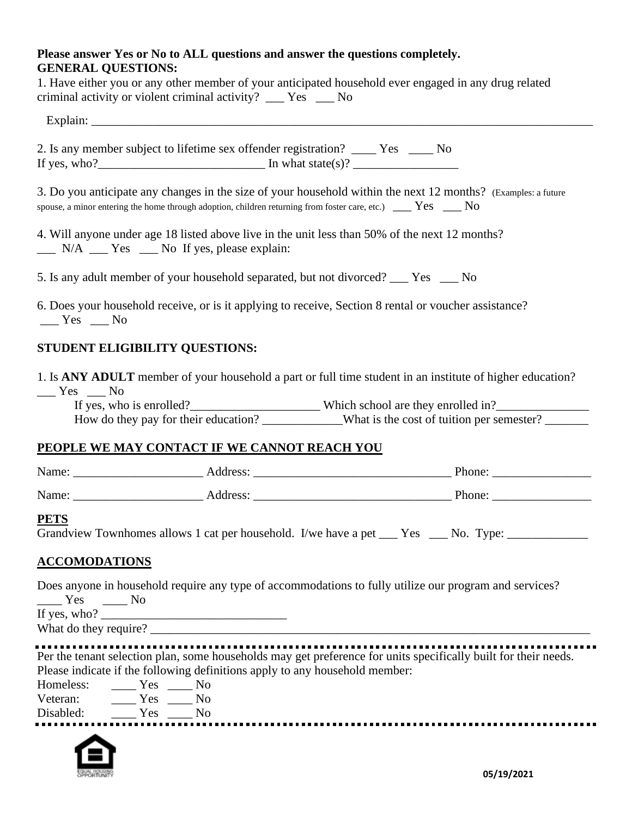# **Please answer Yes or No to ALL questions and answer the questions completely. GENERAL QUESTIONS:**

| criminal activity or violent criminal activity? ___ Yes __ No | 1. Have either you or any other member of your anticipated household ever engaged in any drug related                                                                                                                                |
|---------------------------------------------------------------|--------------------------------------------------------------------------------------------------------------------------------------------------------------------------------------------------------------------------------------|
|                                                               |                                                                                                                                                                                                                                      |
|                                                               | 2. Is any member subject to lifetime sex offender registration? _____ Yes _____ No                                                                                                                                                   |
|                                                               | 3. Do you anticipate any changes in the size of your household within the next 12 months? (Examples: a future<br>spouse, a minor entering the home through adoption, children returning from foster care, etc.) $\Box$ Yes $\Box$ No |
| __ N/A __ Yes _ No If yes, please explain:                    | 4. Will anyone under age 18 listed above live in the unit less than 50% of the next 12 months?                                                                                                                                       |
|                                                               | 5. Is any adult member of your household separated, but not divorced? ___ Yes ___ No                                                                                                                                                 |
| $Yes$ Mo                                                      | 6. Does your household receive, or is it applying to receive, Section 8 rental or voucher assistance?                                                                                                                                |
| <b>STUDENT ELIGIBILITY QUESTIONS:</b>                         |                                                                                                                                                                                                                                      |
| $Yes$ No                                                      | 1. Is ANY ADULT member of your household a part or full time student in an institute of higher education?                                                                                                                            |
|                                                               |                                                                                                                                                                                                                                      |
|                                                               | How do they pay for their education? _____________What is the cost of tuition per semester? _______                                                                                                                                  |
| PEOPLE WE MAY CONTACT IF WE CANNOT REACH YOU                  |                                                                                                                                                                                                                                      |
|                                                               |                                                                                                                                                                                                                                      |
|                                                               |                                                                                                                                                                                                                                      |
| <b>PETS</b>                                                   | Grandview Townhomes allows 1 cat per household. I/we have a pet ___ Yes ___ No. Type: _____________                                                                                                                                  |
| <b>ACCOMODATIONS</b>                                          |                                                                                                                                                                                                                                      |
| Yes<br>$\frac{1}{\sqrt{1-\frac{1}{2}}}$ No                    | Does anyone in household require any type of accommodations to fully utilize our program and services?                                                                                                                               |

If yes, who? \_\_\_\_\_\_\_\_\_\_\_\_\_\_\_\_\_\_\_\_\_\_\_\_\_\_\_\_\_\_ What do they require? \_\_\_\_\_\_\_\_\_\_\_\_\_\_\_\_\_\_\_\_\_\_\_\_\_\_\_\_\_\_\_\_\_\_\_\_\_\_\_\_\_\_\_\_\_\_\_\_\_\_\_\_\_\_\_\_\_\_\_\_\_\_\_\_\_\_\_\_\_\_\_

................. . . Per the tenant selection plan, some households may get preference for units specifically built for their needs. Please indicate if the following definitions apply to any household member:

Homeless: \_\_\_\_\_ Yes \_\_\_\_ No<br>Veteran: \_\_\_\_\_ Yes \_\_\_\_ No Veteran: \_\_\_\_\_\_ Yes \_\_\_\_\_ No Disabled: \_\_\_\_\_ Yes \_\_\_\_ No 

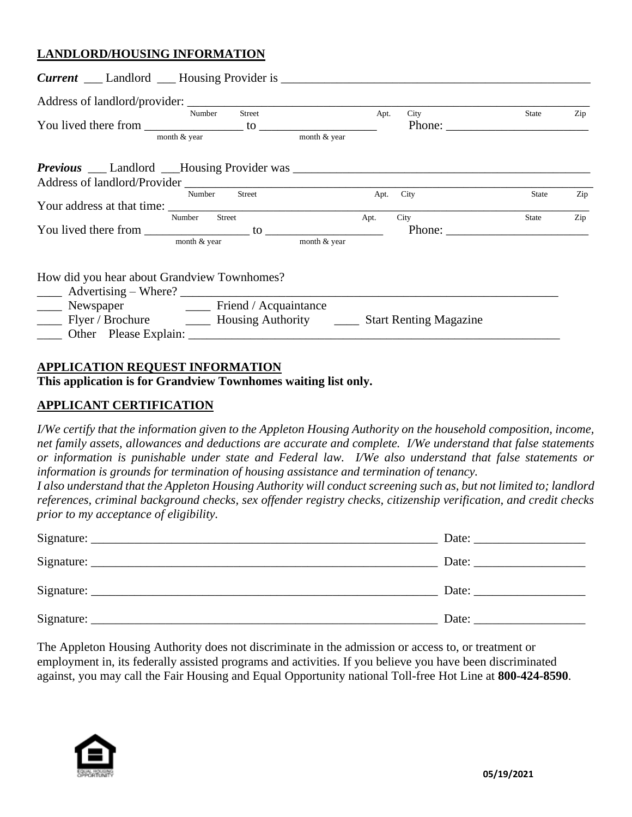# **LANDLORD/HOUSING INFORMATION**

|                                                                                   | Street<br>Number          |                | Apt.<br><b>City</b> | State        | Zip |
|-----------------------------------------------------------------------------------|---------------------------|----------------|---------------------|--------------|-----|
|                                                                                   |                           |                |                     |              |     |
|                                                                                   | month & year              | month $&$ year |                     |              |     |
|                                                                                   |                           |                |                     |              |     |
|                                                                                   |                           |                |                     |              |     |
|                                                                                   | Number Street             |                | Apt. City           | <b>State</b> | Zip |
|                                                                                   |                           |                |                     |              |     |
|                                                                                   | Number Street             | Apt.           | City                | State        | Zip |
|                                                                                   |                           |                |                     |              |     |
|                                                                                   | month & year month & year |                |                     |              |     |
| How did you hear about Grandview Townhomes?                                       |                           |                |                     |              |     |
| Newspaper Friend / Acquaintance                                                   |                           |                |                     |              |     |
| ____ Flyer / Brochure _________ Housing Authority ________ Start Renting Magazine |                           |                |                     |              |     |
|                                                                                   |                           |                |                     |              |     |

#### **APPLICATION REQUEST INFORMATION**

# **This application is for Grandview Townhomes waiting list only.**

### **APPLICANT CERTIFICATION**

*I/We certify that the information given to the Appleton Housing Authority on the household composition, income, net family assets, allowances and deductions are accurate and complete. I/We understand that false statements or information is punishable under state and Federal law. I/We also understand that false statements or information is grounds for termination of housing assistance and termination of tenancy.* 

*I also understand that the Appleton Housing Authority will conduct screening such as, but not limited to; landlord references, criminal background checks, sex offender registry checks, citizenship verification, and credit checks prior to my acceptance of eligibility.*

|            | Date: |
|------------|-------|
| Signature: | Date: |

The Appleton Housing Authority does not discriminate in the admission or access to, or treatment or employment in, its federally assisted programs and activities. If you believe you have been discriminated against, you may call the Fair Housing and Equal Opportunity national Toll-free Hot Line at **800-424-8590**.

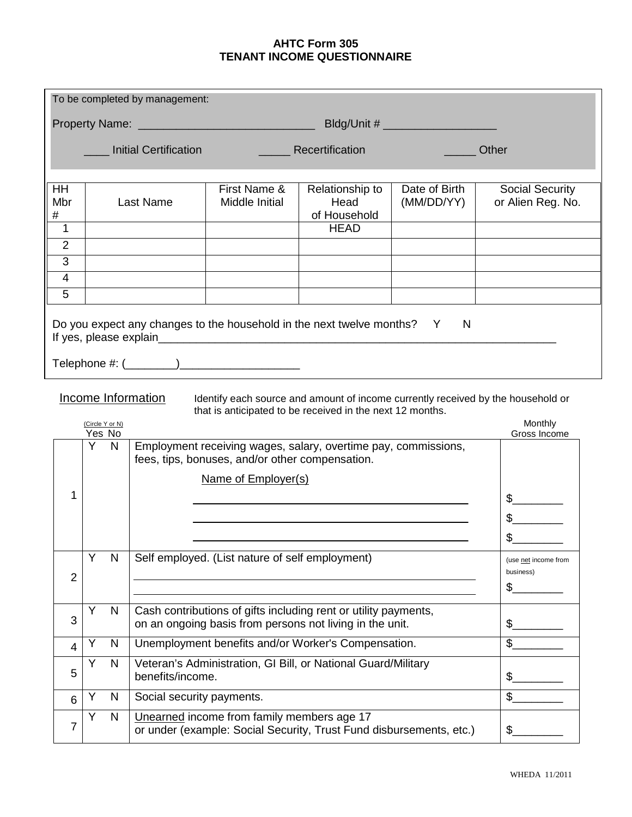### **AHTC Form 305 TENANT INCOME QUESTIONNAIRE**

| To be completed by management: |                                                          |   |                                                 |                                |                                                                                                                             |                             |                                                                                  |
|--------------------------------|----------------------------------------------------------|---|-------------------------------------------------|--------------------------------|-----------------------------------------------------------------------------------------------------------------------------|-----------------------------|----------------------------------------------------------------------------------|
|                                |                                                          |   |                                                 |                                |                                                                                                                             |                             |                                                                                  |
|                                | <b>Initial Certification</b><br>Recertification<br>Other |   |                                                 |                                |                                                                                                                             |                             |                                                                                  |
| HH<br>Mbr<br>#<br>1            |                                                          |   | <b>Last Name</b>                                | First Name &<br>Middle Initial | Relationship to<br>Head<br>of Household<br><b>HEAD</b>                                                                      | Date of Birth<br>(MM/DD/YY) | <b>Social Security</b><br>or Alien Reg. No.                                      |
| $\overline{2}$                 |                                                          |   |                                                 |                                |                                                                                                                             |                             |                                                                                  |
| 3<br>4                         |                                                          |   |                                                 |                                |                                                                                                                             |                             |                                                                                  |
| 5                              |                                                          |   |                                                 |                                |                                                                                                                             |                             |                                                                                  |
|                                |                                                          |   |                                                 |                                | Do you expect any changes to the household in the next twelve months? Y                                                     | N                           |                                                                                  |
|                                |                                                          |   | <b>Income Information</b>                       |                                | that is anticipated to be received in the next 12 months.                                                                   |                             | Identify each source and amount of income currently received by the household or |
|                                | (Circle Y or N)<br>Yes No                                |   |                                                 |                                |                                                                                                                             |                             | Monthly<br>Gross Income                                                          |
| 1                              | Y                                                        | N | fees, tips, bonuses, and/or other compensation. | Name of Employer(s)            | Employment receiving wages, salary, overtime pay, commissions,                                                              |                             | \$                                                                               |
|                                |                                                          |   |                                                 |                                |                                                                                                                             |                             |                                                                                  |
| $\overline{2}$                 | Y                                                        | N | Self employed. (List nature of self employment) |                                |                                                                                                                             |                             | (use net income from<br>business)<br>\$                                          |
| 3                              | Υ                                                        | N |                                                 |                                | Cash contributions of gifts including rent or utility payments,<br>on an ongoing basis from persons not living in the unit. |                             | \$                                                                               |
| 4                              | Υ                                                        | N |                                                 |                                | Unemployment benefits and/or Worker's Compensation.                                                                         |                             | $\frac{1}{2}$                                                                    |
| 5                              | Y                                                        | N | benefits/income.                                |                                | Veteran's Administration, GI Bill, or National Guard/Military                                                               |                             | $\frac{1}{2}$                                                                    |
| 6                              | Υ                                                        | N | Social security payments.                       |                                |                                                                                                                             |                             | $\mathfrak{S}$                                                                   |
| 7                              | Y                                                        | N | Unearned income from family members age 17      |                                | or under (example: Social Security, Trust Fund disbursements, etc.)                                                         |                             | $\frac{1}{2}$                                                                    |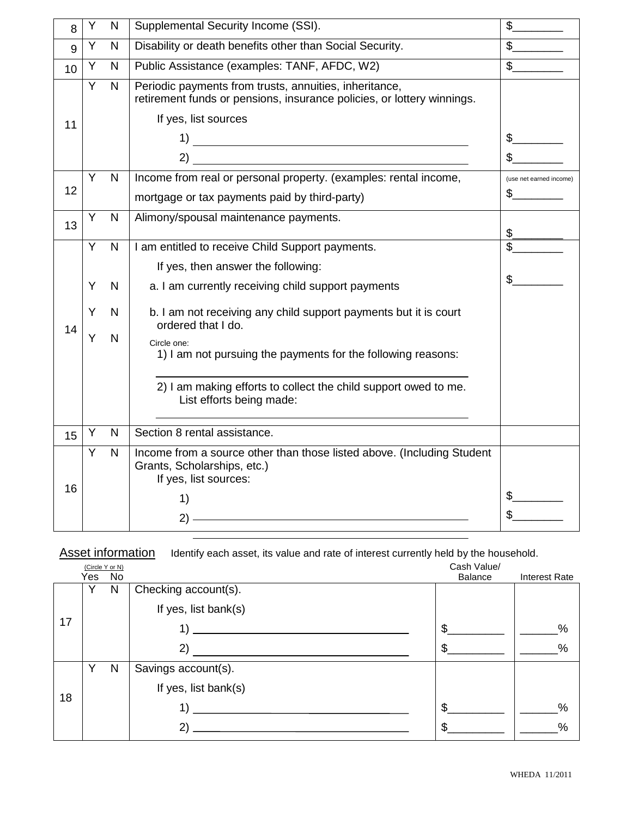| 8  | Υ | N            | Supplemental Security Income (SSI).                                                                                                                      |                         |
|----|---|--------------|----------------------------------------------------------------------------------------------------------------------------------------------------------|-------------------------|
| 9  | Υ | $\mathsf{N}$ | Disability or death benefits other than Social Security.                                                                                                 | $\mathbb{S}$            |
| 10 | Υ | N            | Public Assistance (examples: TANF, AFDC, W2)                                                                                                             | $\frac{1}{2}$           |
| 11 | Y | N            | Periodic payments from trusts, annuities, inheritance,<br>retirement funds or pensions, insurance policies, or lottery winnings.<br>If yes, list sources | \$                      |
| 12 | Y | N            | Income from real or personal property. (examples: rental income,                                                                                         | (use net earned income) |
|    |   |              | mortgage or tax payments paid by third-party)                                                                                                            | \$                      |
| 13 | Υ | $\mathsf{N}$ | Alimony/spousal maintenance payments.                                                                                                                    |                         |
|    | Y | ${\sf N}$    | I am entitled to receive Child Support payments.                                                                                                         |                         |
|    |   |              | If yes, then answer the following:                                                                                                                       |                         |
|    | Y | N            | a. I am currently receiving child support payments                                                                                                       | \$                      |
|    | Y | N            | b. I am not receiving any child support payments but it is court                                                                                         |                         |
| 14 | Y | N            | ordered that I do.<br>Circle one:<br>1) I am not pursuing the payments for the following reasons:                                                        |                         |
|    |   |              | 2) I am making efforts to collect the child support owed to me.<br>List efforts being made:                                                              |                         |
| 15 | Υ | N            | Section 8 rental assistance.                                                                                                                             |                         |
| 16 | Y | N            | Income from a source other than those listed above. (Including Student<br>Grants, Scholarships, etc.)<br>If yes, list sources:<br>1)<br>2)               | \$                      |
|    |   |              |                                                                                                                                                          |                         |

Asset information Identify each asset, its value and rate of interest currently held by the household.

|    | (Circle Y or N) |     |                      | Cash Value/ |               |
|----|-----------------|-----|----------------------|-------------|---------------|
|    | Yes             | No. |                      | Balance     | Interest Rate |
|    | v               | N   | Checking account(s). |             |               |
|    |                 |     | If yes, list bank(s) |             |               |
| 17 |                 |     |                      | \$          | %             |
|    |                 |     | 2)                   |             | %             |
|    | v               | N   | Savings account(s).  |             |               |
| 18 |                 |     | If yes, list bank(s) |             |               |
|    |                 |     | $\mathbf{1}$         | S.          | %             |
|    |                 |     | 2)                   |             | $\%$          |
|    |                 |     |                      |             |               |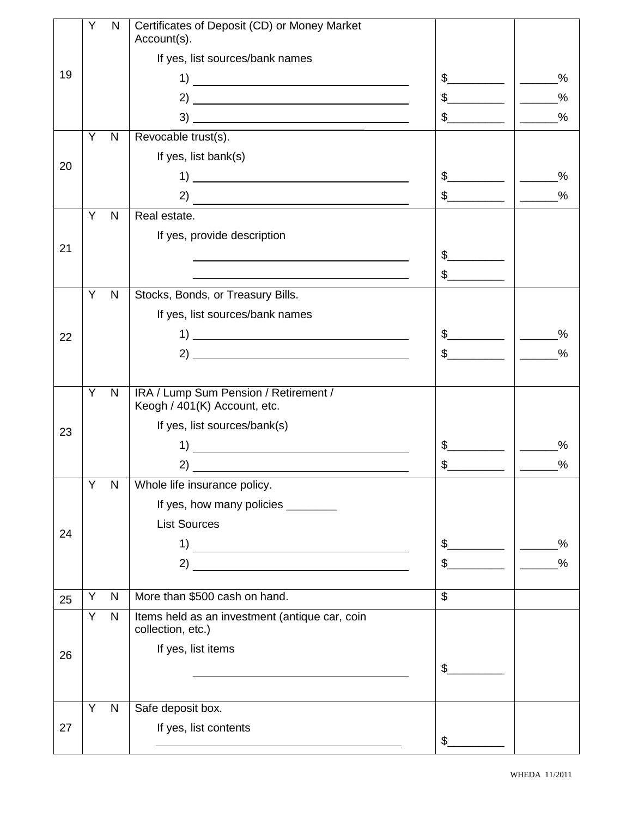|    | Y | $\mathsf{N}$ | Certificates of Deposit (CD) or Money Market<br>Account(s).                                                                                                                                                                                                                                                                                                                          |                |                                                                                                                                                                                                                                                                                                                                                                                                                                                         |
|----|---|--------------|--------------------------------------------------------------------------------------------------------------------------------------------------------------------------------------------------------------------------------------------------------------------------------------------------------------------------------------------------------------------------------------|----------------|---------------------------------------------------------------------------------------------------------------------------------------------------------------------------------------------------------------------------------------------------------------------------------------------------------------------------------------------------------------------------------------------------------------------------------------------------------|
|    |   |              | If yes, list sources/bank names                                                                                                                                                                                                                                                                                                                                                      |                |                                                                                                                                                                                                                                                                                                                                                                                                                                                         |
| 19 |   |              |                                                                                                                                                                                                                                                                                                                                                                                      | $\frac{1}{2}$  | $\%$                                                                                                                                                                                                                                                                                                                                                                                                                                                    |
|    |   |              |                                                                                                                                                                                                                                                                                                                                                                                      | $\frac{1}{2}$  | $\%$<br>$\frac{1}{2}$                                                                                                                                                                                                                                                                                                                                                                                                                                   |
|    |   |              |                                                                                                                                                                                                                                                                                                                                                                                      | $\frac{1}{2}$  | $\%$<br>$\frac{1}{2} \left( \frac{1}{2} \right)^2 + \frac{1}{2} \left( \frac{1}{2} \right)^2 + \frac{1}{2} \left( \frac{1}{2} \right)^2 + \frac{1}{2} \left( \frac{1}{2} \right)^2 + \frac{1}{2} \left( \frac{1}{2} \right)^2 + \frac{1}{2} \left( \frac{1}{2} \right)^2 + \frac{1}{2} \left( \frac{1}{2} \right)^2 + \frac{1}{2} \left( \frac{1}{2} \right)^2 + \frac{1}{2} \left( \frac{1}{2} \right)^2 + \frac{1}{2} \left( \frac{1}{2} \right)^2 +$ |
|    | Y | $\mathsf{N}$ | Revocable trust(s).                                                                                                                                                                                                                                                                                                                                                                  |                |                                                                                                                                                                                                                                                                                                                                                                                                                                                         |
|    |   |              | If yes, list bank(s)                                                                                                                                                                                                                                                                                                                                                                 |                |                                                                                                                                                                                                                                                                                                                                                                                                                                                         |
| 20 |   |              |                                                                                                                                                                                                                                                                                                                                                                                      | $\frac{1}{2}$  | %<br>$\frac{1}{2}$                                                                                                                                                                                                                                                                                                                                                                                                                                      |
|    |   |              | $\overline{a}$ $\overline{a}$ $\overline{a}$ $\overline{a}$ $\overline{a}$ $\overline{a}$ $\overline{a}$ $\overline{a}$ $\overline{a}$ $\overline{a}$ $\overline{a}$ $\overline{a}$ $\overline{a}$ $\overline{a}$ $\overline{a}$ $\overline{a}$ $\overline{a}$ $\overline{a}$ $\overline{a}$ $\overline{a}$ $\overline{a}$ $\overline{a}$ $\overline{a}$ $\overline{a}$ $\overline{$ | $\frac{1}{2}$  | $\frac{0}{0}$                                                                                                                                                                                                                                                                                                                                                                                                                                           |
|    | Y | N            | Real estate.                                                                                                                                                                                                                                                                                                                                                                         |                |                                                                                                                                                                                                                                                                                                                                                                                                                                                         |
|    |   |              | If yes, provide description                                                                                                                                                                                                                                                                                                                                                          |                |                                                                                                                                                                                                                                                                                                                                                                                                                                                         |
| 21 |   |              |                                                                                                                                                                                                                                                                                                                                                                                      | $\frac{1}{2}$  |                                                                                                                                                                                                                                                                                                                                                                                                                                                         |
|    |   |              |                                                                                                                                                                                                                                                                                                                                                                                      | $\frac{1}{2}$  |                                                                                                                                                                                                                                                                                                                                                                                                                                                         |
|    | Y | N            | Stocks, Bonds, or Treasury Bills.                                                                                                                                                                                                                                                                                                                                                    |                |                                                                                                                                                                                                                                                                                                                                                                                                                                                         |
|    |   |              | If yes, list sources/bank names                                                                                                                                                                                                                                                                                                                                                      |                |                                                                                                                                                                                                                                                                                                                                                                                                                                                         |
| 22 |   |              |                                                                                                                                                                                                                                                                                                                                                                                      |                | %<br>$\overline{\phantom{a}}$                                                                                                                                                                                                                                                                                                                                                                                                                           |
|    |   |              |                                                                                                                                                                                                                                                                                                                                                                                      | $\frac{1}{2}$  | $\frac{0}{0}$<br>$\frac{1}{2}$                                                                                                                                                                                                                                                                                                                                                                                                                          |
|    |   |              |                                                                                                                                                                                                                                                                                                                                                                                      |                |                                                                                                                                                                                                                                                                                                                                                                                                                                                         |
|    | Y | N            | IRA / Lump Sum Pension / Retirement /<br>Keogh / 401(K) Account, etc.                                                                                                                                                                                                                                                                                                                |                |                                                                                                                                                                                                                                                                                                                                                                                                                                                         |
| 23 |   |              | If yes, list sources/bank(s)                                                                                                                                                                                                                                                                                                                                                         |                |                                                                                                                                                                                                                                                                                                                                                                                                                                                         |
|    |   |              | 1)                                                                                                                                                                                                                                                                                                                                                                                   | $\mathfrak{S}$ | $\frac{0}{0}$                                                                                                                                                                                                                                                                                                                                                                                                                                           |
|    |   |              | $\overline{2}$ )                                                                                                                                                                                                                                                                                                                                                                     | \$             | $\%$                                                                                                                                                                                                                                                                                                                                                                                                                                                    |
|    | Y | N            | Whole life insurance policy.                                                                                                                                                                                                                                                                                                                                                         |                |                                                                                                                                                                                                                                                                                                                                                                                                                                                         |
|    |   |              | If yes, how many policies ________                                                                                                                                                                                                                                                                                                                                                   |                |                                                                                                                                                                                                                                                                                                                                                                                                                                                         |
| 24 |   |              | <b>List Sources</b>                                                                                                                                                                                                                                                                                                                                                                  |                |                                                                                                                                                                                                                                                                                                                                                                                                                                                         |
|    |   |              | 1)                                                                                                                                                                                                                                                                                                                                                                                   | $\frac{1}{2}$  | $\%$                                                                                                                                                                                                                                                                                                                                                                                                                                                    |
|    |   |              | 2)                                                                                                                                                                                                                                                                                                                                                                                   | $\mathfrak{S}$ | $\%$                                                                                                                                                                                                                                                                                                                                                                                                                                                    |
|    |   |              |                                                                                                                                                                                                                                                                                                                                                                                      |                |                                                                                                                                                                                                                                                                                                                                                                                                                                                         |
| 25 | Y | N            | More than \$500 cash on hand.                                                                                                                                                                                                                                                                                                                                                        | $\mathbb{S}$   |                                                                                                                                                                                                                                                                                                                                                                                                                                                         |
|    | Y | $\mathsf{N}$ | Items held as an investment (antique car, coin<br>collection, etc.)                                                                                                                                                                                                                                                                                                                  |                |                                                                                                                                                                                                                                                                                                                                                                                                                                                         |
|    |   |              | If yes, list items                                                                                                                                                                                                                                                                                                                                                                   |                |                                                                                                                                                                                                                                                                                                                                                                                                                                                         |
| 26 |   |              | the control of the control of the control of the control of the control of the control of                                                                                                                                                                                                                                                                                            | $\frac{2}{2}$  |                                                                                                                                                                                                                                                                                                                                                                                                                                                         |
|    |   |              |                                                                                                                                                                                                                                                                                                                                                                                      |                |                                                                                                                                                                                                                                                                                                                                                                                                                                                         |
|    | Y | $\mathsf{N}$ | Safe deposit box.                                                                                                                                                                                                                                                                                                                                                                    |                |                                                                                                                                                                                                                                                                                                                                                                                                                                                         |
| 27 |   |              | If yes, list contents                                                                                                                                                                                                                                                                                                                                                                |                |                                                                                                                                                                                                                                                                                                                                                                                                                                                         |
|    |   |              |                                                                                                                                                                                                                                                                                                                                                                                      | \$             |                                                                                                                                                                                                                                                                                                                                                                                                                                                         |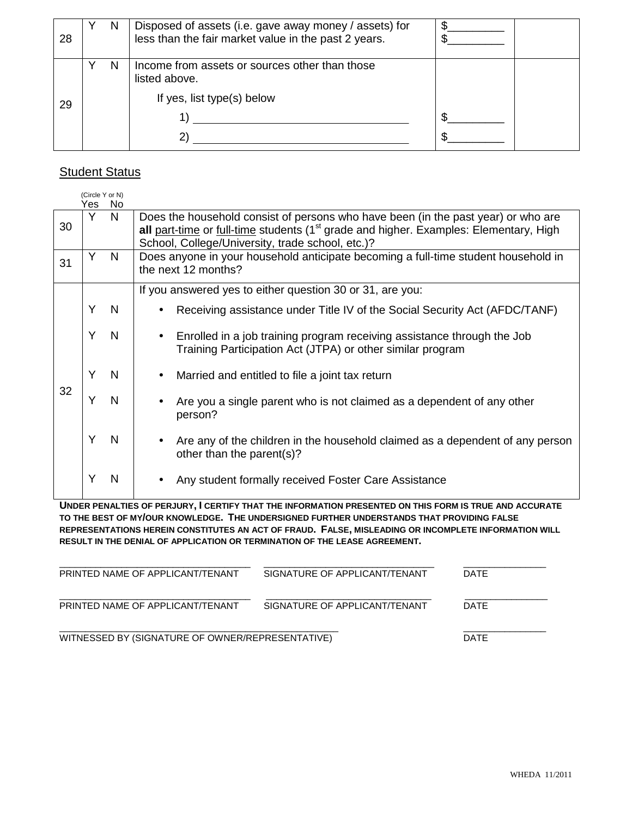| 28 | N | Disposed of assets (i.e. gave away money / assets) for<br>less than the fair market value in the past 2 years. |  |
|----|---|----------------------------------------------------------------------------------------------------------------|--|
|    | N | Income from assets or sources other than those<br>listed above.                                                |  |
| 29 |   | If yes, list type(s) below                                                                                     |  |

# **Student Status**

|    | (Circle Y or N) |              |                                                                                                   |
|----|-----------------|--------------|---------------------------------------------------------------------------------------------------|
|    | Yes.            | No.          |                                                                                                   |
|    | Y               | N.           | Does the household consist of persons who have been (in the past year) or who are                 |
| 30 |                 |              | all part-time or full-time students (1 <sup>st</sup> grade and higher. Examples: Elementary, High |
|    |                 |              | School, College/University, trade school, etc.)?                                                  |
|    | Y               | <sub>N</sub> | Does anyone in your household anticipate becoming a full-time student household in                |
| 31 |                 |              | the next 12 months?                                                                               |
|    |                 |              |                                                                                                   |
|    |                 |              | If you answered yes to either question 30 or 31, are you:                                         |
|    | Y               | <sup>N</sup> | Receiving assistance under Title IV of the Social Security Act (AFDC/TANF)                        |
|    |                 |              |                                                                                                   |
|    | Υ               | N            | Enrolled in a job training program receiving assistance through the Job                           |
|    |                 |              | Training Participation Act (JTPA) or other similar program                                        |
|    |                 |              |                                                                                                   |
|    | Υ               | N            | Married and entitled to file a joint tax return                                                   |
|    |                 |              |                                                                                                   |
| 32 | Υ               | N            | Are you a single parent who is not claimed as a dependent of any other                            |
|    |                 |              |                                                                                                   |
|    |                 |              | person?                                                                                           |
|    | Y               |              |                                                                                                   |
|    |                 | N            | Are any of the children in the household claimed as a dependent of any person                     |
|    |                 |              | other than the parent(s)?                                                                         |
|    |                 |              |                                                                                                   |
|    | Y               | N            | Any student formally received Foster Care Assistance                                              |
|    |                 |              |                                                                                                   |

**UNDER PENALTIES OF PERJURY, I CERTIFY THAT THE INFORMATION PRESENTED ON THIS FORM IS TRUE AND ACCURATE TO THE BEST OF MY/OUR KNOWLEDGE. THE UNDERSIGNED FURTHER UNDERSTANDS THAT PROVIDING FALSE REPRESENTATIONS HEREIN CONSTITUTES AN ACT OF FRAUD. FALSE, MISLEADING OR INCOMPLETE INFORMATION WILL RESULT IN THE DENIAL OF APPLICATION OR TERMINATION OF THE LEASE AGREEMENT.** 

| PRINTED NAME OF APPLICANT/TENANT                 | SIGNATURE OF APPLICANT/TENANT | <b>DATE</b> |
|--------------------------------------------------|-------------------------------|-------------|
| PRINTED NAME OF APPLICANT/TENANT                 | SIGNATURE OF APPLICANT/TENANT | <b>DATE</b> |
| WITNESSED BY (SIGNATURE OF OWNER/REPRESENTATIVE) | <b>DATE</b>                   |             |